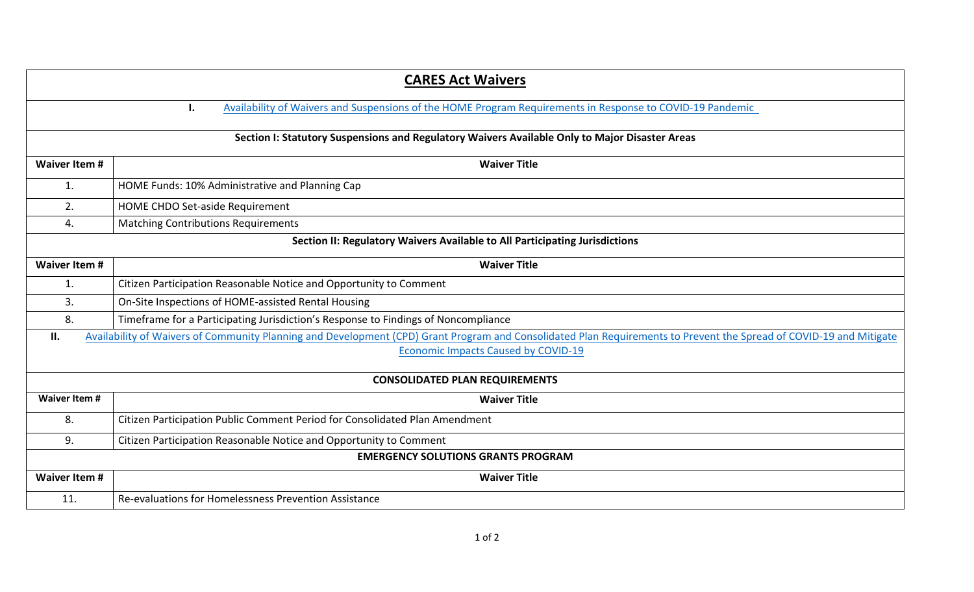| <b>CARES Act Waivers</b>                                                                       |                                                                                                                                                                     |  |
|------------------------------------------------------------------------------------------------|---------------------------------------------------------------------------------------------------------------------------------------------------------------------|--|
|                                                                                                | Availability of Waivers and Suspensions of the HOME Program Requirements in Response to COVID-19 Pandemic<br>ı.                                                     |  |
| Section I: Statutory Suspensions and Regulatory Waivers Available Only to Major Disaster Areas |                                                                                                                                                                     |  |
| <b>Waiver Item #</b>                                                                           | <b>Waiver Title</b>                                                                                                                                                 |  |
| 1.                                                                                             | HOME Funds: 10% Administrative and Planning Cap                                                                                                                     |  |
| 2.                                                                                             | HOME CHDO Set-aside Requirement                                                                                                                                     |  |
| 4.                                                                                             | <b>Matching Contributions Requirements</b>                                                                                                                          |  |
| Section II: Regulatory Waivers Available to All Participating Jurisdictions                    |                                                                                                                                                                     |  |
| <b>Waiver Item #</b>                                                                           | <b>Waiver Title</b>                                                                                                                                                 |  |
| 1.                                                                                             | Citizen Participation Reasonable Notice and Opportunity to Comment                                                                                                  |  |
| 3.                                                                                             | On-Site Inspections of HOME-assisted Rental Housing                                                                                                                 |  |
| 8.                                                                                             | Timeframe for a Participating Jurisdiction's Response to Findings of Noncompliance                                                                                  |  |
| П.                                                                                             | Availability of Waivers of Community Planning and Development (CPD) Grant Program and Consolidated Plan Requirements to Prevent the Spread of COVID-19 and Mitigate |  |
|                                                                                                | <b>Economic Impacts Caused by COVID-19</b>                                                                                                                          |  |
| <b>CONSOLIDATED PLAN REQUIREMENTS</b>                                                          |                                                                                                                                                                     |  |
| <b>Waiver Item #</b>                                                                           | <b>Waiver Title</b>                                                                                                                                                 |  |
| 8.                                                                                             | Citizen Participation Public Comment Period for Consolidated Plan Amendment                                                                                         |  |
| 9.                                                                                             | Citizen Participation Reasonable Notice and Opportunity to Comment                                                                                                  |  |
| <b>EMERGENCY SOLUTIONS GRANTS PROGRAM</b>                                                      |                                                                                                                                                                     |  |
| <b>Waiver Item #</b>                                                                           | <b>Waiver Title</b>                                                                                                                                                 |  |
| 11.                                                                                            | Re-evaluations for Homelessness Prevention Assistance                                                                                                               |  |